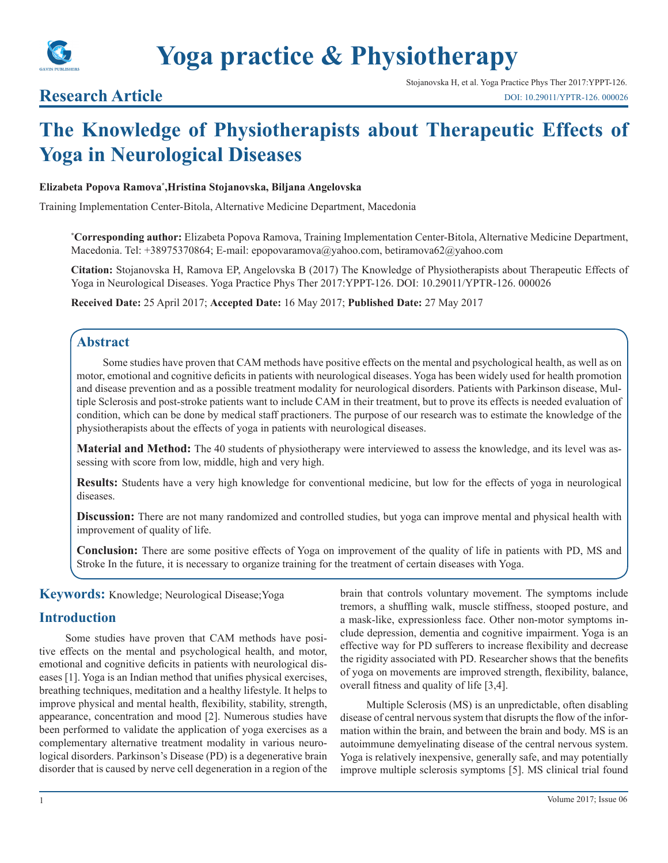

# **Yoga practice & Physiotherapy**

# **Research Article**

# **The Knowledge of Physiotherapists about Therapeutic Effects of Yoga in Neurological Diseases**

### **Elizabeta Popova Ramova\* ,Hristina Stojanovska, Biljana Angelovska**

Training Implementation Center-Bitola, Alternative Medicine Department, Macedonia

**\* Corresponding author:** Elizabeta Popova Ramova, Training Implementation Center-Bitola, Alternative Medicine Department, Macedonia. Tel: +38975370864; E-mail: epopovaramova@yahoo.com, betiramova62@yahoo.com

**Citation:** Stojanovska H, Ramova EP, Angelovska B (2017) The Knowledge of Physiotherapists about Therapeutic Effects of Yoga in Neurological Diseases. Yoga Practice Phys Ther 2017:YPPT-126. DOI: 10.29011/YPTR-126. 000026

**Received Date:** 25 April 2017; **Accepted Date:** 16 May 2017; **Published Date:** 27 May 2017

# **Abstract**

Some studies have proven that CAM methods have positive effects on the mental and psychological health, as well as on motor, emotional and cognitive deficits in patients with neurological diseases. Yoga has been widely used for health promotion and disease prevention and as a possible treatment modality for neurological disorders. Patients with Parkinson disease, Multiple Sclerosis and post-stroke patients want to include CAM in their treatment, but to prove its effects is needed evaluation of condition, which can be done by medical staff practioners. The purpose of our research was to estimate the knowledge of the physiotherapists about the effects of yoga in patients with neurological diseases.

**Material and Method:** The 40 students of physiotherapy were interviewed to assess the knowledge, and its level was assessing with score from low, middle, high and very high.

**Results:** Students have a very high knowledge for conventional medicine, but low for the effects of yoga in neurological diseases.

**Discussion:** There are not many randomized and controlled studies, but yoga can improve mental and physical health with improvement of quality of life.

**Conclusion:** There are some positive effects of Yoga on improvement of the quality of life in patients with PD, MS and Stroke In the future, it is necessary to organize training for the treatment of certain diseases with Yoga.

**Keywords:** Knowledge; Neurological Disease;Yoga

# **Introduction**

Some studies have proven that CAM methods have positive effects on the mental and psychological health, and motor, emotional and cognitive deficits in patients with neurological diseases [1]. Yoga is an Indian method that unifies physical exercises, breathing techniques, meditation and a healthy lifestyle. It helps to improve physical and mental health, flexibility, stability, strength, appearance, concentration and mood [2]. Numerous studies have been performed to validate the application of yoga exercises as a complementary alternative treatment modality in various neurological disorders. Parkinson's Disease (PD) is a degenerative brain disorder that is caused by nerve cell degeneration in a region of the brain that controls voluntary movement. The symptoms include tremors, a shuffling walk, muscle stiffness, stooped posture, and a mask-like, expressionless face. Other non-motor symptoms include depression, dementia and cognitive impairment. Yoga is an effective way for PD sufferers to increase flexibility and decrease the rigidity associated with PD. Researcher shows that the benefits of yoga on movements are improved strength, flexibility, balance, overall fitness and quality of life [3,4].

Multiple Sclerosis (MS) is an unpredictable, often disabling disease of central nervous system that disrupts the flow of the information within the brain, and between the brain and body. MS is an autoimmune demyelinating disease of the central nervous system. Yoga is relatively inexpensive, generally safe, and may potentially improve multiple sclerosis symptoms [5]. MS clinical trial found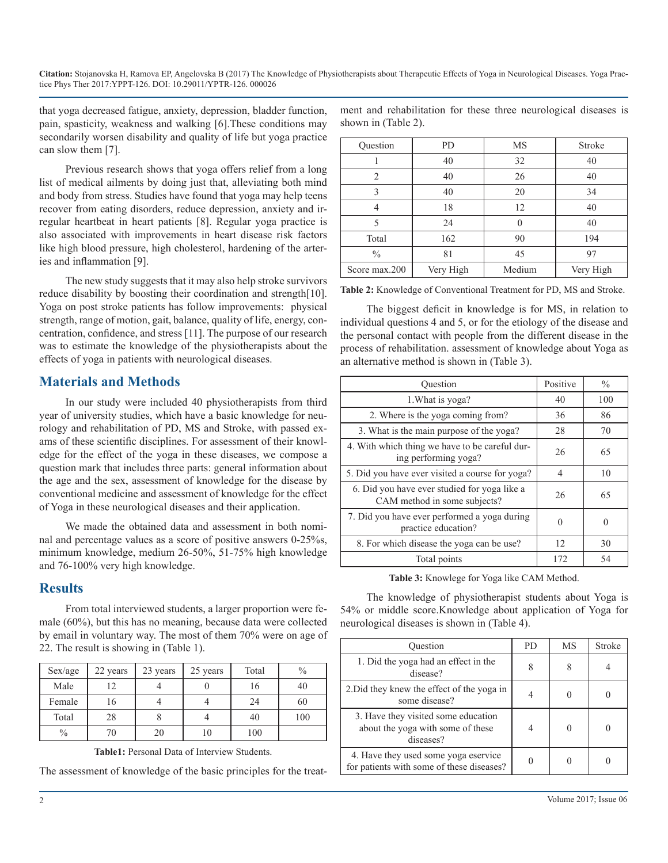**Citation:** Stojanovska H, Ramova EP, Angelovska B (2017) The Knowledge of Physiotherapists about Therapeutic Effects of Yoga in Neurological Diseases. Yoga Practice Phys Ther 2017:YPPT-126. DOI: 10.29011/YPTR-126. 000026

that yoga decreased fatigue, anxiety, depression, bladder function, pain, spasticity, weakness and walking [6].These conditions may secondarily worsen disability and quality of life but yoga practice can slow them [7].

Previous research shows that yoga offers relief from a long list of medical ailments by doing just that, alleviating both mind and body from stress. Studies have found that yoga may help teens recover from eating disorders, reduce depression, anxiety and irregular heartbeat in heart patients [8]. Regular yoga practice is also associated with improvements in heart disease risk factors like high blood pressure, high cholesterol, hardening of the arteries and inflammation [9].

The new study suggests that it may also help stroke survivors reduce disability by boosting their coordination and strength[10]. Yoga on post stroke patients has follow improvements: physical strength, range of motion, gait, balance, quality of life, energy, concentration, confidence, and stress [11]. The purpose of our research was to estimate the knowledge of the physiotherapists about the effects of yoga in patients with neurological diseases.

# **Materials and Methods**

In our study were included 40 physiotherapists from third year of university studies, which have a basic knowledge for neurology and rehabilitation of PD, MS and Stroke, with passed exams of these scientific disciplines. For assessment of their knowledge for the effect of the yoga in these diseases, we compose a question mark that includes three parts: general information about the age and the sex, assessment of knowledge for the disease by conventional medicine and assessment of knowledge for the effect of Yoga in these neurological diseases and their application.

We made the obtained data and assessment in both nominal and percentage values as a score of positive answers 0-25%s, minimum knowledge, medium 26-50%, 51-75% high knowledge and 76-100% very high knowledge.

# **Results**

From total interviewed students, a larger proportion were female (60%), but this has no meaning, because data were collected by email in voluntary way. The most of them 70% were on age of 22. The result is showing in (Table 1).

| Sex/age       | 22 years | 23 years | 25 years | Total | $\frac{0}{0}$ |
|---------------|----------|----------|----------|-------|---------------|
| Male          | 12       |          |          | 16    | 40            |
| Female        | 16       |          |          | 24    | 60            |
| Total         | 28       |          |          | 40    | 100           |
| $\frac{0}{0}$ | 70       | 20       | 10       | 100   |               |

**Table1:** Personal Data of Interview Students.

The assessment of knowledge of the basic principles for the treat-

| ment and rehabilitation for these three neurological diseases is |  |  |  |
|------------------------------------------------------------------|--|--|--|
| shown in (Table 2).                                              |  |  |  |

| Question       | <b>PD</b> | <b>MS</b> | Stroke    |
|----------------|-----------|-----------|-----------|
|                | 40        | 32        | 40        |
| $\mathfrak{D}$ | 40        | 26        | 40        |
| ζ              | 40        | 20        | 34        |
|                | 18        | 12        | 40        |
| 5              | 24        |           | 40        |
| Total          | 162       | 90        | 194       |
| $\frac{0}{0}$  | 81        | 45        | 97        |
| Score max.200  | Very High | Medium    | Very High |

**Table 2:** Knowledge of Conventional Treatment for PD, MS and Stroke.

The biggest deficit in knowledge is for MS, in relation to individual questions 4 and 5, or for the etiology of the disease and the personal contact with people from the different disease in the process of rehabilitation. assessment of knowledge about Yoga as an alternative method is shown in (Table 3).

| Question                                                                     | Positive | $\frac{0}{0}$ |
|------------------------------------------------------------------------------|----------|---------------|
| 1. What is yoga?                                                             | 40       | 100           |
| 2. Where is the yoga coming from?                                            | 36       | 86            |
| 3. What is the main purpose of the yoga?                                     | 28       | 70            |
| 4. With which thing we have to be careful dur-<br>ing performing yoga?       | 26       | 65            |
| 5. Did you have ever visited a course for yoga?                              | 4        | 10            |
| 6. Did you have ever studied for yoga like a<br>CAM method in some subjects? | 26       | 65            |
| 7. Did you have ever performed a yoga during<br>practice education?          |          |               |
| 8. For which disease the yoga can be use?                                    | 12       | 30            |
| Total points                                                                 | 172      | 54            |

**Table 3:** Knowlege for Yoga like CAM Method.

The knowledge of physiotherapist students about Yoga is 54% or middle score.Knowledge about application of Yoga for neurological diseases is shown in (Table 4).

| Ouestion                                                                              | <b>PD</b> | MS | <b>Stroke</b> |
|---------------------------------------------------------------------------------------|-----------|----|---------------|
| 1. Did the yoga had an effect in the<br>disease?                                      |           |    |               |
| 2. Did they knew the effect of the yoga in<br>some disease?                           |           |    |               |
| 3. Have they visited some education<br>about the yoga with some of these<br>diseases? |           |    |               |
| 4. Have they used some yoga eservice<br>for patients with some of these diseases?     |           |    |               |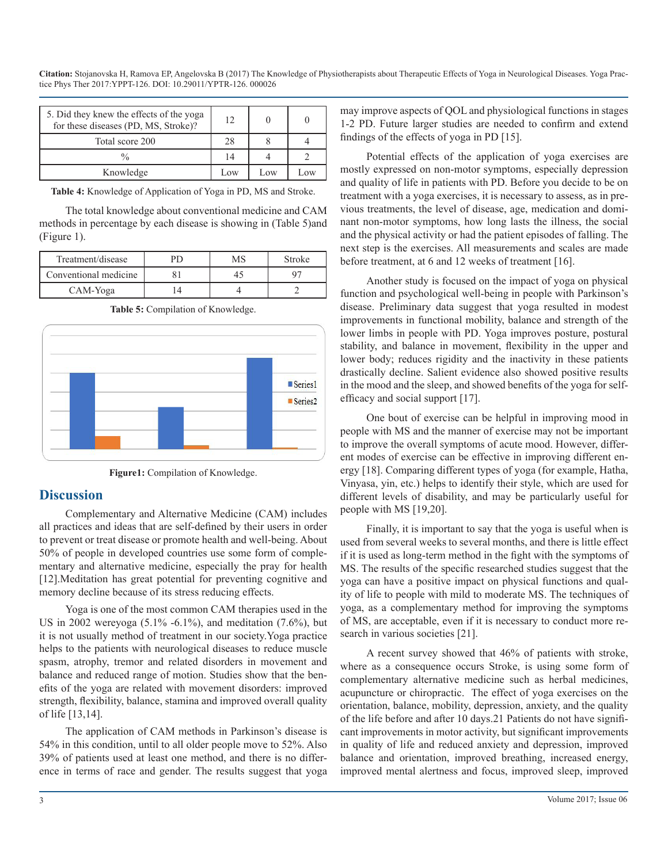**Citation:** Stojanovska H, Ramova EP, Angelovska B (2017) The Knowledge of Physiotherapists about Therapeutic Effects of Yoga in Neurological Diseases. Yoga Practice Phys Ther 2017:YPPT-126. DOI: 10.29011/YPTR-126. 000026

| 5. Did they knew the effects of the yoga<br>for these diseases (PD, MS, Stroke)? | 12. |     |     |
|----------------------------------------------------------------------------------|-----|-----|-----|
| Total score 200                                                                  | 28  |     |     |
| $\frac{0}{0}$                                                                    | 14  |     |     |
| Knowledge                                                                        | Low | Low | Low |

**Table 4:** Knowledge of Application of Yoga in PD, MS and Stroke.

The total knowledge about conventional medicine and CAM methods in percentage by each disease is showing in (Table 5)and (Figure 1).

| Treatment/disease     | PD | MS | Stroke |
|-----------------------|----|----|--------|
| Conventional medicine |    |    |        |
| CAM-Yoga              |    |    |        |

**Table 5:** Compilation of Knowledge.





#### **Discussion**

Complementary and Alternative Medicine (CAM) includes all practices and ideas that are self-defined by their users in order to prevent or treat disease or promote health and well-being. About 50% of people in developed countries use some form of complementary and alternative medicine, especially the pray for health [12].Meditation has great potential for preventing cognitive and memory decline because of its stress reducing effects.

Yoga is one of the most common CAM therapies used in the US in 2002 wereyoga (5.1% -6.1%), and meditation (7.6%), but it is not usually method of treatment in our society.Yoga practice helps to the patients with neurological diseases to reduce muscle spasm, atrophy, tremor and related disorders in movement and balance and reduced range of motion. Studies show that the benefits of the yoga are related with movement disorders: improved strength, flexibility, balance, stamina and improved overall quality of life [13,14].

The application of CAM methods in Parkinson's disease is 54% in this condition, until to all older people move to 52%. Also 39% of patients used at least one method, and there is no difference in terms of race and gender. The results suggest that yoga may improve aspects of QOL and physiological functions in stages 1-2 PD. Future larger studies are needed to confirm and extend findings of the effects of yoga in PD [15].

Potential effects of the application of yoga exercises are mostly expressed on non-motor symptoms, especially depression and quality of life in patients with PD. Before you decide to be on treatment with a yoga exercises, it is necessary to assess, as in previous treatments, the level of disease, age, medication and dominant non-motor symptoms, how long lasts the illness, the social and the physical activity or had the patient episodes of falling. The next step is the exercises. All measurements and scales are made before treatment, at 6 and 12 weeks of treatment [16].

Another study is focused on the impact of yoga on physical function and psychological well-being in people with Parkinson's disease. Preliminary data suggest that yoga resulted in modest improvements in functional mobility, balance and strength of the lower limbs in people with PD. Yoga improves posture, postural stability, and balance in movement, flexibility in the upper and lower body; reduces rigidity and the inactivity in these patients drastically decline. Salient evidence also showed positive results in the mood and the sleep, and showed benefits of the yoga for selfefficacy and social support [17].

One bout of exercise can be helpful in improving mood in people with MS and the manner of exercise may not be important to improve the overall symptoms of acute mood. However, different modes of exercise can be effective in improving different energy [18]. Comparing different types of yoga (for example, Hatha, Vinyasa, yin, etc.) helps to identify their style, which are used for different levels of disability, and may be particularly useful for people with MS [19,20].

Finally, it is important to say that the yoga is useful when is used from several weeks to several months, and there is little effect if it is used as long-term method in the fight with the symptoms of MS. The results of the specific researched studies suggest that the yoga can have a positive impact on physical functions and quality of life to people with mild to moderate MS. The techniques of yoga, as a complementary method for improving the symptoms of MS, are acceptable, even if it is necessary to conduct more research in various societies [21].

A recent survey showed that 46% of patients with stroke, where as a consequence occurs Stroke, is using some form of complementary alternative medicine such as herbal medicines, acupuncture or chiropractic. The effect of yoga exercises on the orientation, balance, mobility, depression, anxiety, and the quality of the life before and after 10 days.21 Patients do not have significant improvements in motor activity, but significant improvements in quality of life and reduced anxiety and depression, improved balance and orientation, improved breathing, increased energy, improved mental alertness and focus, improved sleep, improved